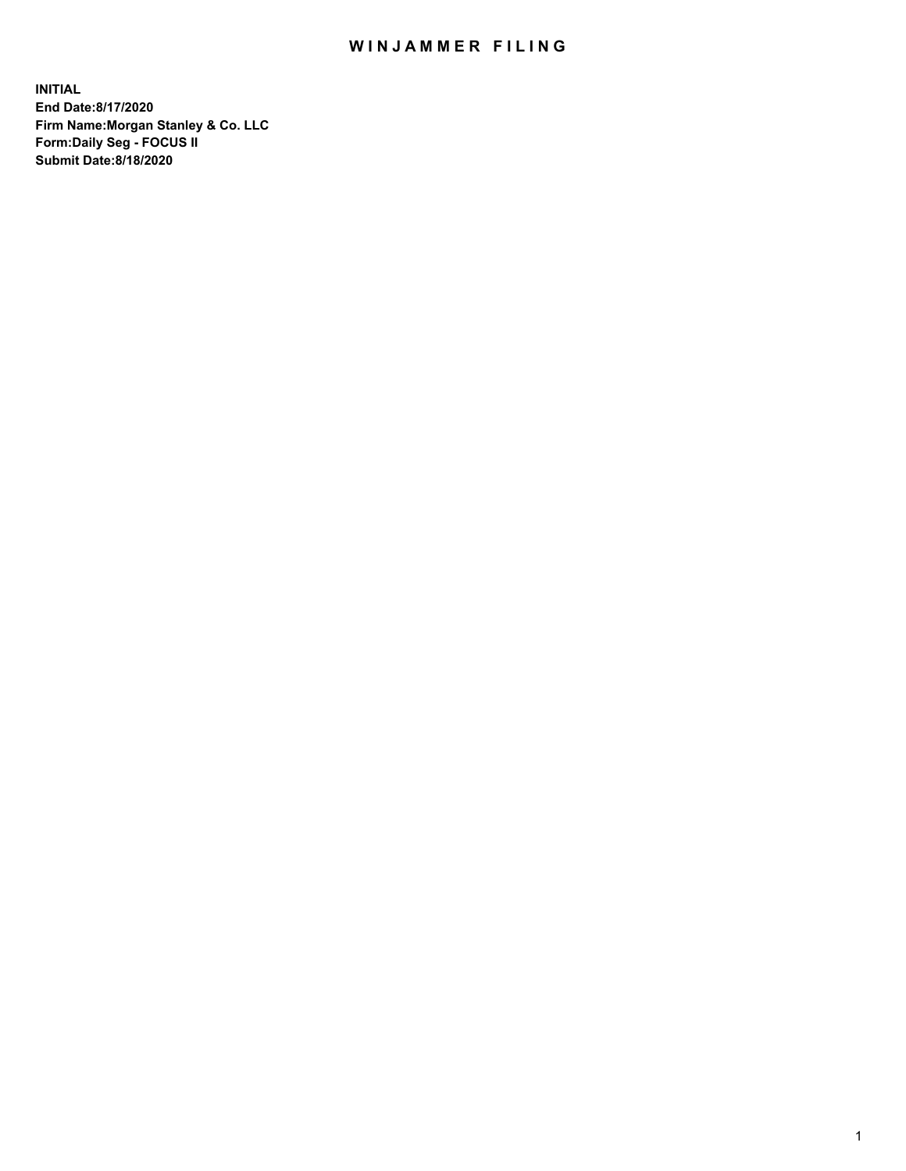## WIN JAMMER FILING

**INITIAL End Date:8/17/2020 Firm Name:Morgan Stanley & Co. LLC Form:Daily Seg - FOCUS II Submit Date:8/18/2020**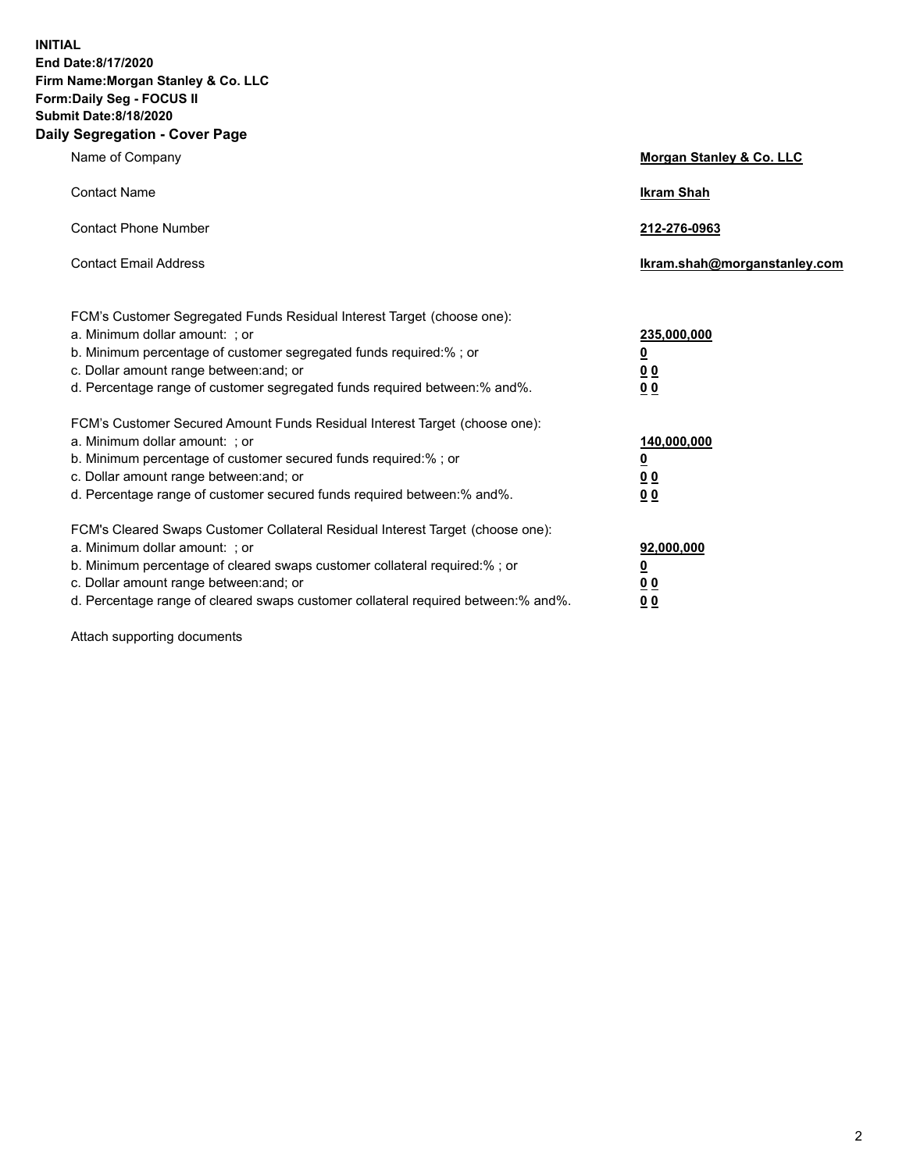**INITIAL End Date:8/17/2020 Firm Name:Morgan Stanley & Co. LLC Form:Daily Seg - FOCUS II Submit Date:8/18/2020 Daily Segregation - Cover Page**

| Name of Company                                                                                                                                                                                                                                                                                                               | Morgan Stanley & Co. LLC                               |
|-------------------------------------------------------------------------------------------------------------------------------------------------------------------------------------------------------------------------------------------------------------------------------------------------------------------------------|--------------------------------------------------------|
| <b>Contact Name</b>                                                                                                                                                                                                                                                                                                           | <b>Ikram Shah</b>                                      |
| <b>Contact Phone Number</b>                                                                                                                                                                                                                                                                                                   | 212-276-0963                                           |
| <b>Contact Email Address</b>                                                                                                                                                                                                                                                                                                  | Ikram.shah@morganstanley.com                           |
| FCM's Customer Segregated Funds Residual Interest Target (choose one):<br>a. Minimum dollar amount: ; or<br>b. Minimum percentage of customer segregated funds required:% ; or<br>c. Dollar amount range between: and; or<br>d. Percentage range of customer segregated funds required between:% and%.                        | 235,000,000<br><u>0</u><br><u>00</u><br>0 <sup>0</sup> |
| FCM's Customer Secured Amount Funds Residual Interest Target (choose one):<br>a. Minimum dollar amount: ; or<br>b. Minimum percentage of customer secured funds required:%; or<br>c. Dollar amount range between: and; or<br>d. Percentage range of customer secured funds required between:% and%.                           | 140,000,000<br><u>0</u><br><u>00</u><br>0 <sub>0</sub> |
| FCM's Cleared Swaps Customer Collateral Residual Interest Target (choose one):<br>a. Minimum dollar amount: ; or<br>b. Minimum percentage of cleared swaps customer collateral required:%; or<br>c. Dollar amount range between: and; or<br>d. Percentage range of cleared swaps customer collateral required between:% and%. | 92,000,000<br><u>0</u><br>0 Q<br>00                    |

Attach supporting documents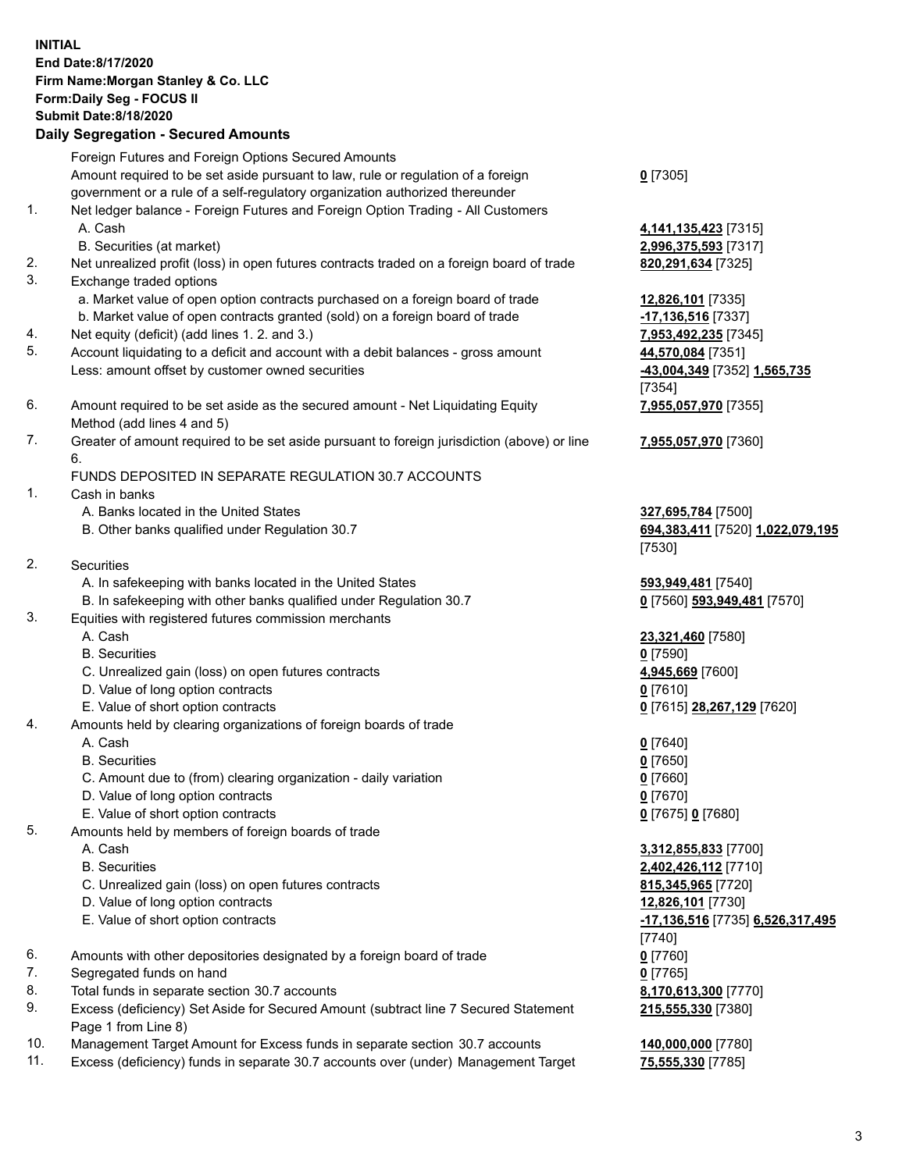## **INITIAL End Date:8/17/2020 Firm Name:Morgan Stanley & Co. LLC Form:Daily Seg - FOCUS II Submit Date:8/18/2020 Daily Segregation - Secured Amounts** Foreign Futures and Foreign Options Secured Amounts Amount required to be set aside pursuant to law, rule or regulation of a foreign government or a rule of a self-regulatory organization authorized thereunder **0** [7305] 1. Net ledger balance - Foreign Futures and Foreign Option Trading - All Customers A. Cash **4,141,135,423** [7315] B. Securities (at market) **2,996,375,593** [7317] 2. Net unrealized profit (loss) in open futures contracts traded on a foreign board of trade **820,291,634** [7325] 3. Exchange traded options a. Market value of open option contracts purchased on a foreign board of trade **12,826,101** [7335] b. Market value of open contracts granted (sold) on a foreign board of trade **-17,136,516** [7337] 4. Net equity (deficit) (add lines 1. 2. and 3.) **7,953,492,235** [7345] 5. Account liquidating to a deficit and account with a debit balances - gross amount **44,570,084** [7351] Less: amount offset by customer owned securities **-43,004,349** [7352] **1,565,735** [7354] 6. Amount required to be set aside as the secured amount - Net Liquidating Equity Method (add lines 4 and 5) **7,955,057,970** [7355] 7. Greater of amount required to be set aside pursuant to foreign jurisdiction (above) or line 6. **7,955,057,970** [7360] FUNDS DEPOSITED IN SEPARATE REGULATION 30.7 ACCOUNTS 1. Cash in banks A. Banks located in the United States **327,695,784** [7500] B. Other banks qualified under Regulation 30.7 **694,383,411** [7520] **1,022,079,195** [7530] 2. Securities A. In safekeeping with banks located in the United States **593,949,481** [7540] B. In safekeeping with other banks qualified under Regulation 30.7 **0** [7560] **593,949,481** [7570] 3. Equities with registered futures commission merchants A. Cash **23,321,460** [7580] B. Securities **0** [7590] C. Unrealized gain (loss) on open futures contracts **4,945,669** [7600] D. Value of long option contracts **0** [7610] E. Value of short option contracts **0** [7615] **28,267,129** [7620] 4. Amounts held by clearing organizations of foreign boards of trade A. Cash **0** [7640] B. Securities **0** [7650] C. Amount due to (from) clearing organization - daily variation **0** [7660] D. Value of long option contracts **0** [7670] E. Value of short option contracts **0** [7675] **0** [7680] 5. Amounts held by members of foreign boards of trade A. Cash **3,312,855,833** [7700] B. Securities **2,402,426,112** [7710] C. Unrealized gain (loss) on open futures contracts **815,345,965** [7720] D. Value of long option contracts **12,826,101** [7730] E. Value of short option contracts **-17,136,516** [7735] **6,526,317,495** [7740] 6. Amounts with other depositories designated by a foreign board of trade **0** [7760] 7. Segregated funds on hand **0** [7765] 8. Total funds in separate section 30.7 accounts **8,170,613,300** [7770] 9. Excess (deficiency) Set Aside for Secured Amount (subtract line 7 Secured Statement

- Page 1 from Line 8)
- 10. Management Target Amount for Excess funds in separate section 30.7 accounts **140,000,000** [7780]
- 11. Excess (deficiency) funds in separate 30.7 accounts over (under) Management Target **75,555,330** [7785]

**215,555,330** [7380]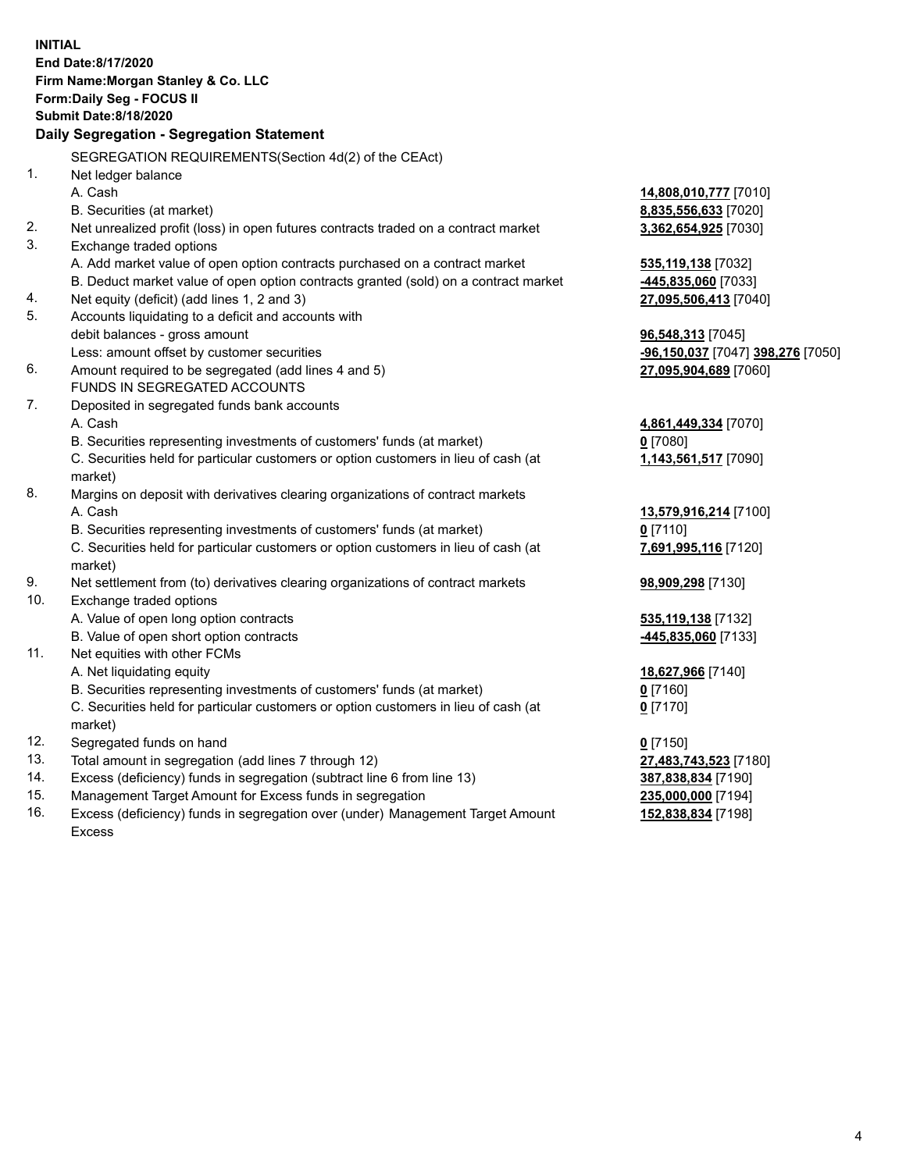|                | <b>INITIAL</b>                                                                                                                                                     |                                               |
|----------------|--------------------------------------------------------------------------------------------------------------------------------------------------------------------|-----------------------------------------------|
|                | End Date:8/17/2020                                                                                                                                                 |                                               |
|                | Firm Name: Morgan Stanley & Co. LLC                                                                                                                                |                                               |
|                | Form: Daily Seg - FOCUS II                                                                                                                                         |                                               |
|                | <b>Submit Date:8/18/2020</b>                                                                                                                                       |                                               |
|                | Daily Segregation - Segregation Statement                                                                                                                          |                                               |
|                |                                                                                                                                                                    |                                               |
| 1 <sub>1</sub> | SEGREGATION REQUIREMENTS(Section 4d(2) of the CEAct)                                                                                                               |                                               |
|                | Net ledger balance                                                                                                                                                 |                                               |
|                | A. Cash                                                                                                                                                            | 14,808,010,777 [7010]<br>8,835,556,633 [7020] |
| 2.             | B. Securities (at market)                                                                                                                                          |                                               |
| 3.             | Net unrealized profit (loss) in open futures contracts traded on a contract market                                                                                 | 3,362,654,925 [7030]                          |
|                | Exchange traded options                                                                                                                                            |                                               |
|                | A. Add market value of open option contracts purchased on a contract market<br>B. Deduct market value of open option contracts granted (sold) on a contract market | 535,119,138 [7032]                            |
| 4.             | Net equity (deficit) (add lines 1, 2 and 3)                                                                                                                        | 445,835,060 [7033]                            |
| 5.             | Accounts liquidating to a deficit and accounts with                                                                                                                | 27,095,506,413 [7040]                         |
|                | debit balances - gross amount                                                                                                                                      | 96,548,313 [7045]                             |
|                | Less: amount offset by customer securities                                                                                                                         | -96,150,037 [7047] 398,276 [7050]             |
| 6.             | Amount required to be segregated (add lines 4 and 5)                                                                                                               | 27,095,904,689 [7060]                         |
|                | FUNDS IN SEGREGATED ACCOUNTS                                                                                                                                       |                                               |
| 7.             | Deposited in segregated funds bank accounts                                                                                                                        |                                               |
|                | A. Cash                                                                                                                                                            | 4,861,449,334 [7070]                          |
|                | B. Securities representing investments of customers' funds (at market)                                                                                             | $0$ [7080]                                    |
|                | C. Securities held for particular customers or option customers in lieu of cash (at                                                                                | 1,143,561,517 [7090]                          |
|                | market)                                                                                                                                                            |                                               |
| 8.             | Margins on deposit with derivatives clearing organizations of contract markets                                                                                     |                                               |
|                | A. Cash                                                                                                                                                            | 13,579,916,214 [7100]                         |
|                | B. Securities representing investments of customers' funds (at market)                                                                                             | $0$ [7110]                                    |
|                | C. Securities held for particular customers or option customers in lieu of cash (at                                                                                | 7,691,995,116 [7120]                          |
|                | market)                                                                                                                                                            |                                               |
| 9.             | Net settlement from (to) derivatives clearing organizations of contract markets                                                                                    | 98,909,298 [7130]                             |
| 10.            | Exchange traded options                                                                                                                                            |                                               |
|                | A. Value of open long option contracts                                                                                                                             | 535, 119, 138 [7132]                          |
|                | B. Value of open short option contracts                                                                                                                            | 445,835,060 [7133]                            |
| 11.            | Net equities with other FCMs                                                                                                                                       |                                               |
|                | A. Net liquidating equity                                                                                                                                          | 18,627,966 [7140]                             |
|                | B. Securities representing investments of customers' funds (at market)                                                                                             | $0$ [7160]                                    |
|                | C. Securities held for particular customers or option customers in lieu of cash (at                                                                                | $Q$ [7170]                                    |
|                | market)                                                                                                                                                            |                                               |
| 12.            | Segregated funds on hand                                                                                                                                           | $0$ [7150]                                    |
| 13.            | Total amount in segregation (add lines 7 through 12)                                                                                                               | 27,483,743,523 [7180]                         |
| 14.            | Excess (deficiency) funds in segregation (subtract line 6 from line 13)                                                                                            | 387,838,834 [7190]                            |
| 15.            | Management Target Amount for Excess funds in segregation                                                                                                           | 235,000,000 [7194]                            |
| 16.            | Excess (deficiency) funds in segregation over (under) Management Target Amount                                                                                     | 152,838,834 [7198]                            |

16. Excess (deficiency) funds in segregation over (under) Management Target Amount Excess